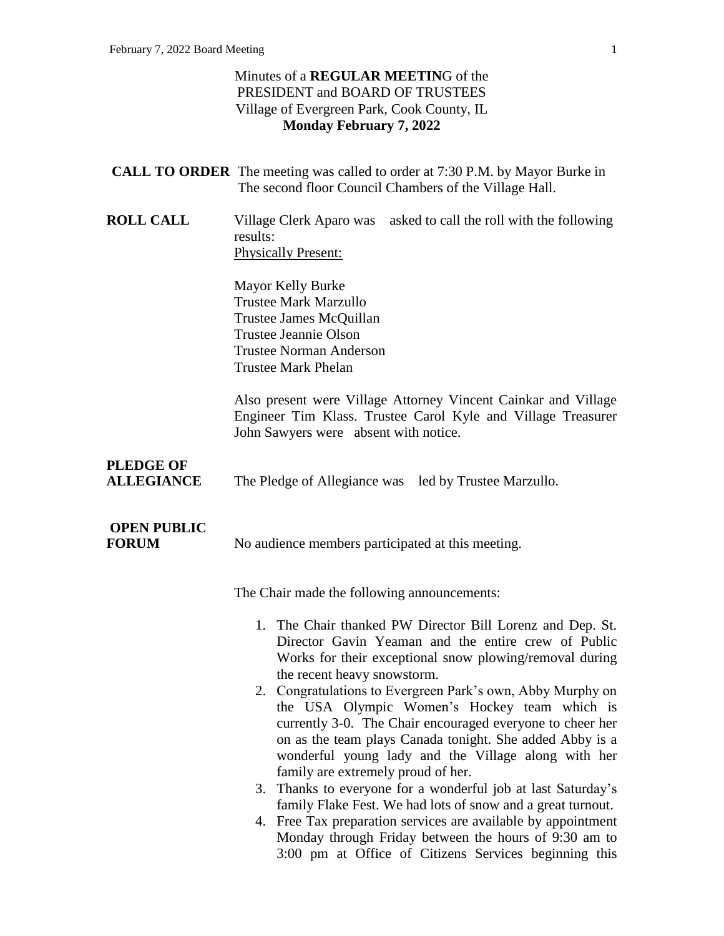#### Minutes of a **REGULAR MEETIN**G of the PRESIDENT and BOARD OF TRUSTEES Village of Evergreen Park, Cook County, IL **Monday February 7, 2022**

|                                       | <b>CALL TO ORDER</b> The meeting was called to order at 7:30 P.M. by Mayor Burke in<br>The second floor Council Chambers of the Village Hall.                                                                                                                                                                                                                                                                                                                                                                                                                                                                                                                                                                                                                                                                                                                    |
|---------------------------------------|------------------------------------------------------------------------------------------------------------------------------------------------------------------------------------------------------------------------------------------------------------------------------------------------------------------------------------------------------------------------------------------------------------------------------------------------------------------------------------------------------------------------------------------------------------------------------------------------------------------------------------------------------------------------------------------------------------------------------------------------------------------------------------------------------------------------------------------------------------------|
| <b>ROLL CALL</b>                      | Village Clerk Aparo was asked to call the roll with the following<br>results:<br><b>Physically Present:</b>                                                                                                                                                                                                                                                                                                                                                                                                                                                                                                                                                                                                                                                                                                                                                      |
|                                       | Mayor Kelly Burke<br><b>Trustee Mark Marzullo</b><br>Trustee James McQuillan<br><b>Trustee Jeannie Olson</b><br><b>Trustee Norman Anderson</b><br><b>Trustee Mark Phelan</b>                                                                                                                                                                                                                                                                                                                                                                                                                                                                                                                                                                                                                                                                                     |
|                                       | Also present were Village Attorney Vincent Cainkar and Village<br>Engineer Tim Klass. Trustee Carol Kyle and Village Treasurer<br>John Sawyers were absent with notice.                                                                                                                                                                                                                                                                                                                                                                                                                                                                                                                                                                                                                                                                                          |
| <b>PLEDGE OF</b><br><b>ALLEGIANCE</b> | The Pledge of Allegiance was led by Trustee Marzullo.                                                                                                                                                                                                                                                                                                                                                                                                                                                                                                                                                                                                                                                                                                                                                                                                            |
| <b>OPEN PUBLIC</b><br><b>FORUM</b>    | No audience members participated at this meeting.                                                                                                                                                                                                                                                                                                                                                                                                                                                                                                                                                                                                                                                                                                                                                                                                                |
|                                       | The Chair made the following announcements:                                                                                                                                                                                                                                                                                                                                                                                                                                                                                                                                                                                                                                                                                                                                                                                                                      |
|                                       | 1. The Chair thanked PW Director Bill Lorenz and Dep. St.<br>Director Gavin Yeaman and the entire crew of Public<br>Works for their exceptional snow plowing/removal during<br>the recent heavy snowstorm.<br>2. Congratulations to Evergreen Park's own, Abby Murphy on<br>the USA Olympic Women's Hockey team which is<br>currently 3-0. The Chair encouraged everyone to cheer her<br>on as the team plays Canada tonight. She added Abby is a<br>wonderful young lady and the Village along with her<br>family are extremely proud of her.<br>3. Thanks to everyone for a wonderful job at last Saturday's<br>family Flake Fest. We had lots of snow and a great turnout.<br>4. Free Tax preparation services are available by appointment<br>Monday through Friday between the hours of 9:30 am to<br>3:00 pm at Office of Citizens Services beginning this |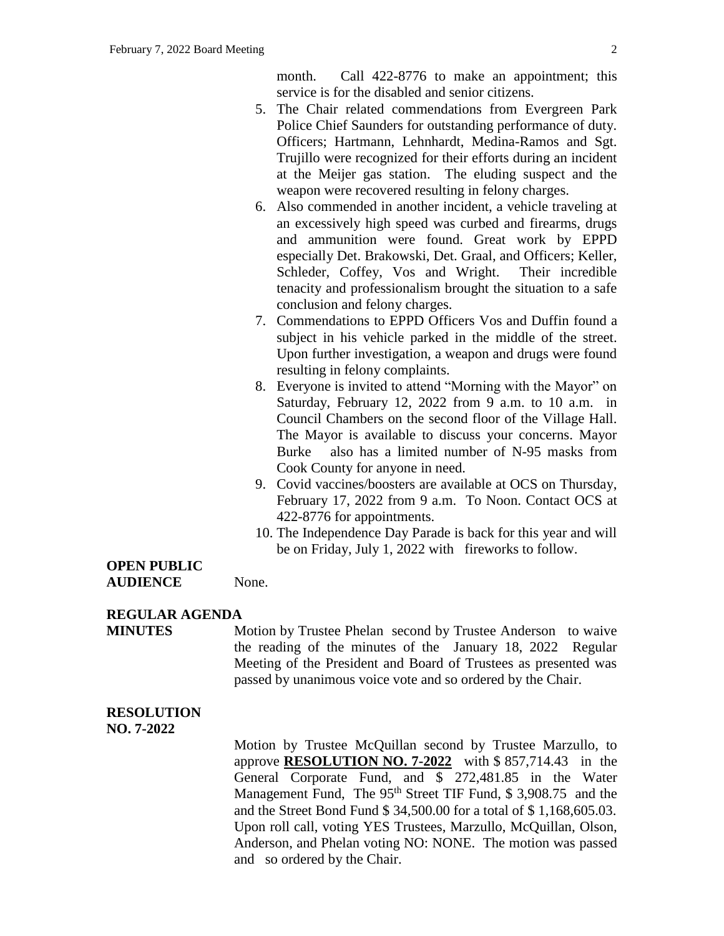month. Call 422-8776 to make an appointment; this service is for the disabled and senior citizens.

- 5. The Chair related commendations from Evergreen Park Police Chief Saunders for outstanding performance of duty. Officers; Hartmann, Lehnhardt, Medina-Ramos and Sgt. Trujillo were recognized for their efforts during an incident at the Meijer gas station. The eluding suspect and the weapon were recovered resulting in felony charges.
- 6. Also commended in another incident, a vehicle traveling at an excessively high speed was curbed and firearms, drugs and ammunition were found. Great work by EPPD especially Det. Brakowski, Det. Graal, and Officers; Keller, Schleder, Coffey, Vos and Wright. Their incredible tenacity and professionalism brought the situation to a safe conclusion and felony charges.
- 7. Commendations to EPPD Officers Vos and Duffin found a subject in his vehicle parked in the middle of the street. Upon further investigation, a weapon and drugs were found resulting in felony complaints.
- 8. Everyone is invited to attend "Morning with the Mayor" on Saturday, February 12, 2022 from 9 a.m. to 10 a.m. in Council Chambers on the second floor of the Village Hall. The Mayor is available to discuss your concerns. Mayor Burke also has a limited number of N-95 masks from Cook County for anyone in need.
- 9. Covid vaccines/boosters are available at OCS on Thursday, February 17, 2022 from 9 a.m. To Noon. Contact OCS at 422-8776 for appointments.
- 10. The Independence Day Parade is back for this year and will be on Friday, July 1, 2022 with fireworks to follow.

#### **OPEN PUBLIC AUDIENCE** None.

### **REGULAR AGENDA**

**MINUTES** Motion by Trustee Phelan second by Trustee Anderson to waive the reading of the minutes of the January 18, 2022 Regular Meeting of the President and Board of Trustees as presented was passed by unanimous voice vote and so ordered by the Chair.

### **RESOLUTION**

**NO. 7-2022**

Motion by Trustee McQuillan second by Trustee Marzullo, to approve **RESOLUTION NO. 7-2022** with \$ 857,714.43 in the General Corporate Fund, and \$ 272,481.85 in the Water Management Fund, The 95<sup>th</sup> Street TIF Fund, \$3,908.75 and the and the Street Bond Fund \$ 34,500.00 for a total of \$ 1,168,605.03. Upon roll call, voting YES Trustees, Marzullo, McQuillan, Olson, Anderson, and Phelan voting NO: NONE. The motion was passed and so ordered by the Chair.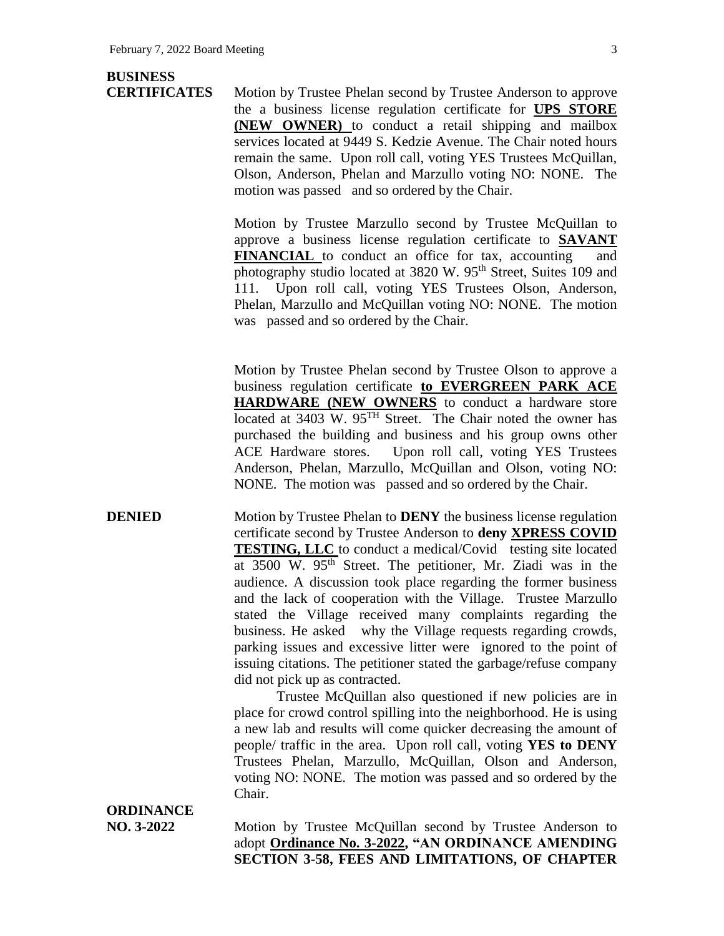## **BUSINESS**

**CERTIFICATES** Motion by Trustee Phelan second by Trustee Anderson to approve the a business license regulation certificate for **UPS STORE (NEW OWNER)** to conduct a retail shipping and mailbox services located at 9449 S. Kedzie Avenue. The Chair noted hours remain the same. Upon roll call, voting YES Trustees McQuillan, Olson, Anderson, Phelan and Marzullo voting NO: NONE. The motion was passed and so ordered by the Chair.

> Motion by Trustee Marzullo second by Trustee McQuillan to approve a business license regulation certificate to **SAVANT FINANCIAL** to conduct an office for tax, accounting and photography studio located at 3820 W. 95<sup>th</sup> Street, Suites 109 and 111. Upon roll call, voting YES Trustees Olson, Anderson, Phelan, Marzullo and McQuillan voting NO: NONE. The motion was passed and so ordered by the Chair.

> Motion by Trustee Phelan second by Trustee Olson to approve a business regulation certificate **to EVERGREEN PARK ACE HARDWARE (NEW OWNERS** to conduct a hardware store located at 3403 W. 95<sup>TH</sup> Street. The Chair noted the owner has purchased the building and business and his group owns other ACE Hardware stores. Upon roll call, voting YES Trustees Anderson, Phelan, Marzullo, McQuillan and Olson, voting NO: NONE. The motion was passed and so ordered by the Chair.

**DENIED** Motion by Trustee Phelan to **DENY** the business license regulation certificate second by Trustee Anderson to **deny XPRESS COVID TESTING, LLC** to conduct a medical/Covid testing site located at 3500 W. 95<sup>th</sup> Street. The petitioner, Mr. Ziadi was in the audience. A discussion took place regarding the former business and the lack of cooperation with the Village. Trustee Marzullo stated the Village received many complaints regarding the business. He asked why the Village requests regarding crowds, parking issues and excessive litter were ignored to the point of issuing citations. The petitioner stated the garbage/refuse company did not pick up as contracted.

> Trustee McQuillan also questioned if new policies are in place for crowd control spilling into the neighborhood. He is using a new lab and results will come quicker decreasing the amount of people/ traffic in the area. Upon roll call, voting **YES to DENY** Trustees Phelan, Marzullo, McQuillan, Olson and Anderson, voting NO: NONE. The motion was passed and so ordered by the Chair.

# **ORDINANCE**

**NO. 3-2022** Motion by Trustee McQuillan second by Trustee Anderson to adopt **Ordinance No. 3-2022, "AN ORDINANCE AMENDING SECTION 3-58, FEES AND LIMITATIONS, OF CHAPTER**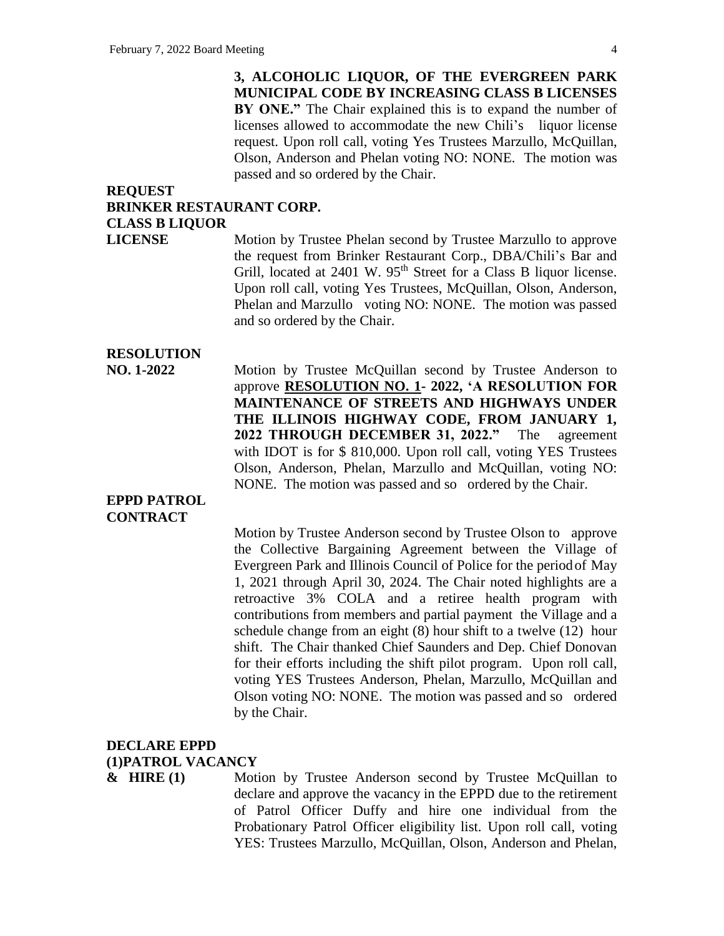**3, ALCOHOLIC LIQUOR, OF THE EVERGREEN PARK MUNICIPAL CODE BY INCREASING CLASS B LICENSES BY ONE."** The Chair explained this is to expand the number of licenses allowed to accommodate the new Chili's liquor license request. Upon roll call, voting Yes Trustees Marzullo, McQuillan, Olson, Anderson and Phelan voting NO: NONE. The motion was passed and so ordered by the Chair.

#### **REQUEST BRINKER RESTAURANT CORP. CLASS B LIQUOR**

**LICENSE** Motion by Trustee Phelan second by Trustee Marzullo to approve the request from Brinker Restaurant Corp., DBA/Chili's Bar and Grill, located at 2401 W. 95<sup>th</sup> Street for a Class B liquor license. Upon roll call, voting Yes Trustees, McQuillan, Olson, Anderson, Phelan and Marzullo voting NO: NONE. The motion was passed and so ordered by the Chair.

## **RESOLUTION**

**NO. 1-2022** Motion by Trustee McQuillan second by Trustee Anderson to approve **RESOLUTION NO. 1- 2022, 'A RESOLUTION FOR MAINTENANCE OF STREETS AND HIGHWAYS UNDER THE ILLINOIS HIGHWAY CODE, FROM JANUARY 1, 2022 THROUGH DECEMBER 31, 2022."** The agreement with IDOT is for \$ 810,000. Upon roll call, voting YES Trustees Olson, Anderson, Phelan, Marzullo and McQuillan, voting NO: NONE. The motion was passed and so ordered by the Chair.

#### **EPPD PATROL CONTRACT**

Motion by Trustee Anderson second by Trustee Olson to approve the Collective Bargaining Agreement between the Village of Evergreen Park and Illinois Council of Police for the periodof May 1, 2021 through April 30, 2024. The Chair noted highlights are a retroactive 3% COLA and a retiree health program with contributions from members and partial payment the Village and a schedule change from an eight (8) hour shift to a twelve (12) hour shift. The Chair thanked Chief Saunders and Dep. Chief Donovan for their efforts including the shift pilot program. Upon roll call, voting YES Trustees Anderson, Phelan, Marzullo, McQuillan and Olson voting NO: NONE. The motion was passed and so ordered by the Chair.

## **DECLARE EPPD (1)PATROL VACANCY**

**& HIRE (1)** Motion by Trustee Anderson second by Trustee McQuillan to declare and approve the vacancy in the EPPD due to the retirement of Patrol Officer Duffy and hire one individual from the Probationary Patrol Officer eligibility list. Upon roll call, voting YES: Trustees Marzullo, McQuillan, Olson, Anderson and Phelan,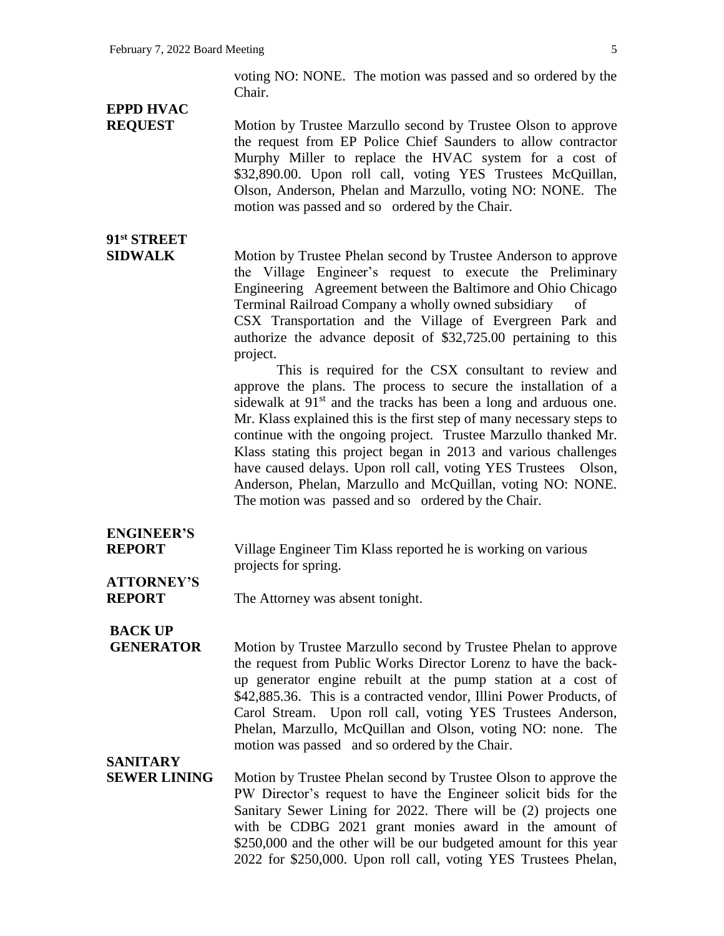voting NO: NONE. The motion was passed and so ordered by the Chair.

## **EPPD HVAC**

**91st STREET**

**REQUEST** Motion by Trustee Marzullo second by Trustee Olson to approve the request from EP Police Chief Saunders to allow contractor Murphy Miller to replace the HVAC system for a cost of \$32,890.00. Upon roll call, voting YES Trustees McQuillan, Olson, Anderson, Phelan and Marzullo, voting NO: NONE. The motion was passed and so ordered by the Chair.

#### **SIDWALK** Motion by Trustee Phelan second by Trustee Anderson to approve the Village Engineer's request to execute the Preliminary Engineering Agreement between the Baltimore and Ohio Chicago Terminal Railroad Company a wholly owned subsidiary of CSX Transportation and the Village of Evergreen Park and authorize the advance deposit of \$32,725.00 pertaining to this project.

This is required for the CSX consultant to review and approve the plans. The process to secure the installation of a sidewalk at  $91<sup>st</sup>$  and the tracks has been a long and arduous one. Mr. Klass explained this is the first step of many necessary steps to continue with the ongoing project. Trustee Marzullo thanked Mr. Klass stating this project began in 2013 and various challenges have caused delays. Upon roll call, voting YES Trustees Olson, Anderson, Phelan, Marzullo and McQuillan, voting NO: NONE. The motion was passed and so ordered by the Chair.

## **ENGINEER'S**

**REPORT** Village Engineer Tim Klass reported he is working on various projects for spring.

#### **ATTORNEY'S REPORT** The Attorney was absent tonight.

## **BACK UP**

**GENERATOR** Motion by Trustee Marzullo second by Trustee Phelan to approve the request from Public Works Director Lorenz to have the backup generator engine rebuilt at the pump station at a cost of \$42,885.36. This is a contracted vendor, Illini Power Products, of Carol Stream. Upon roll call, voting YES Trustees Anderson, Phelan, Marzullo, McQuillan and Olson, voting NO: none. The motion was passed and so ordered by the Chair.

### **SANITARY**

**SEWER LINING** Motion by Trustee Phelan second by Trustee Olson to approve the PW Director's request to have the Engineer solicit bids for the Sanitary Sewer Lining for 2022. There will be (2) projects one with be CDBG 2021 grant monies award in the amount of \$250,000 and the other will be our budgeted amount for this year 2022 for \$250,000. Upon roll call, voting YES Trustees Phelan,